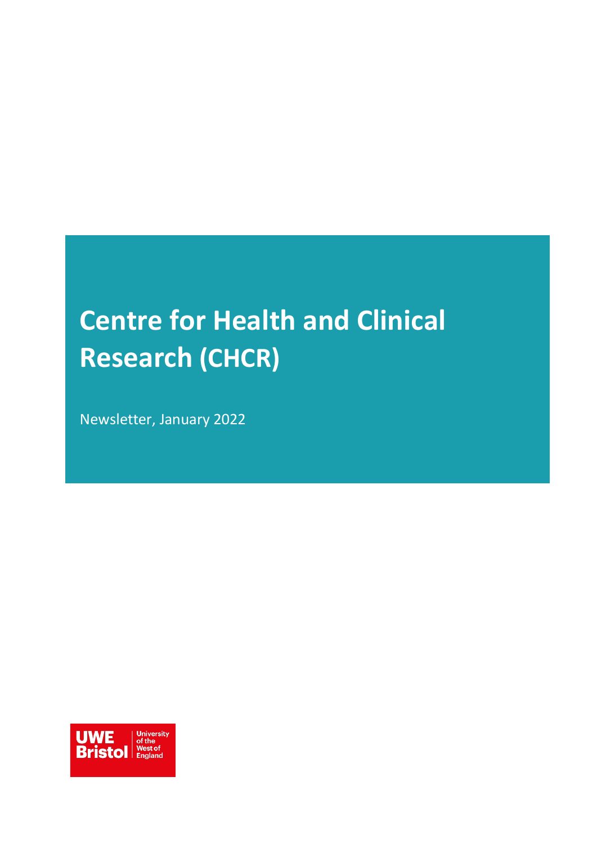# **Centre for Health and Clinical Research (CHCR)**

Newsletter, January 2022

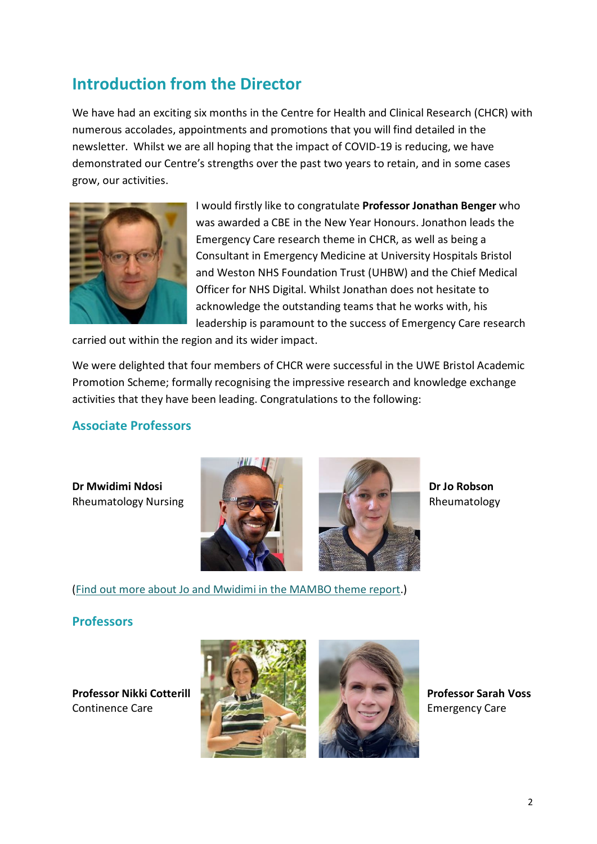### **Introduction from the Director**

We have had an exciting six months in the Centre for Health and Clinical Research (CHCR) with numerous accolades, appointments and promotions that you will find detailed in the newsletter. Whilst we are all hoping that the impact of COVID-19 is reducing, we have demonstrated our Centre's strengths over the past two years to retain, and in some cases grow, our activities.



I would firstly like to congratulate **Professor Jonathan Benger** who was awarded a CBE in the New Year Honours. Jonathon leads the Emergency Care research theme in CHCR, as well as being a Consultant in Emergency Medicine at University Hospitals Bristol and Weston NHS Foundation Trust (UHBW) and the Chief Medical Officer for NHS Digital. Whilst Jonathan does not hesitate to acknowledge the outstanding teams that he works with, his leadership is paramount to the success of Emergency Care research

carried out within the region and its wider impact.

We were delighted that four members of CHCR were successful in the UWE Bristol Academic Promotion Scheme; formally recognising the impressive research and knowledge exchange activities that they have been leading. Congratulations to the following:

#### **Associate Professors**





[\(Find out more about Jo and Mwidimi in the MAMBO theme report.](#page-7-0))

#### **Professors**

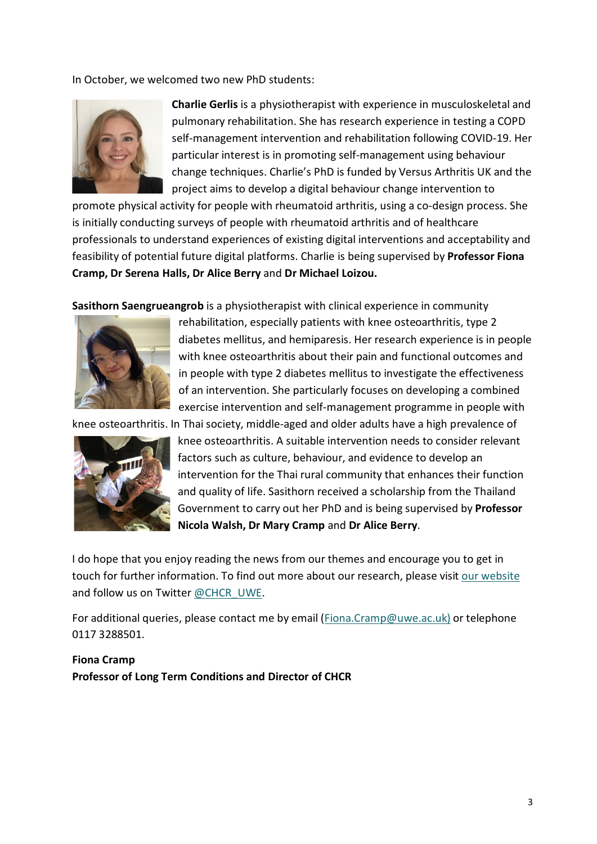In October, we welcomed two new PhD students:



**Charlie Gerlis** is a physiotherapist with experience in musculoskeletal and pulmonary rehabilitation. She has research experience in testing a COPD self-management intervention and rehabilitation following COVID-19. Her particular interest is in promoting self-management using behaviour change techniques. Charlie's PhD is funded by Versus Arthritis UK and the project aims to develop a digital behaviour change intervention to

promote physical activity for people with rheumatoid arthritis, using a co-design process. She is initially conducting surveys of people with rheumatoid arthritis and of healthcare professionals to understand experiences of existing digital interventions and acceptability and feasibility of potential future digital platforms. Charlie is being supervised by **Professor Fiona Cramp, Dr Serena Halls, Dr Alice Berry** and **Dr Michael Loizou.**

**Sasithorn Saengrueangrob** is a physiotherapist with clinical experience in community



rehabilitation, especially patients with knee osteoarthritis, type 2 diabetes mellitus, and hemiparesis. Her research experience is in people with knee osteoarthritis about their pain and functional outcomes and in people with type 2 diabetes mellitus to investigate the effectiveness of an intervention. She particularly focuses on developing a combined exercise intervention and self-management programme in people with

knee osteoarthritis. In Thai society, middle-aged and older adults have a high prevalence of



knee osteoarthritis. A suitable intervention needs to consider relevant factors such as culture, behaviour, and evidence to develop an intervention for the Thai rural community that enhances their function and quality of life. Sasithorn received a scholarship from the Thailand Government to carry out her PhD and is being supervised by **Professor Nicola Walsh, Dr Mary Cramp** and **Dr Alice Berry**.

I do hope that you enjoy reading the news from our themes and encourage you to get in touch for further information. To find out more about our research, please visit our [website](https://www.uwe.ac.uk/research/centres-and-groups/chcr) and follow us on Twitter [@CHCR\\_UWE.](https://twitter.com/chcr_uwe)

For additional queries, please contact me by email [\(Fiona.Cramp@uwe.ac.uk\)](mailto:Fiona.Cramp@uwe.ac.uk) or telephone 0117 3288501.

#### **Fiona Cramp Professor of Long Term Conditions and Director of CHCR**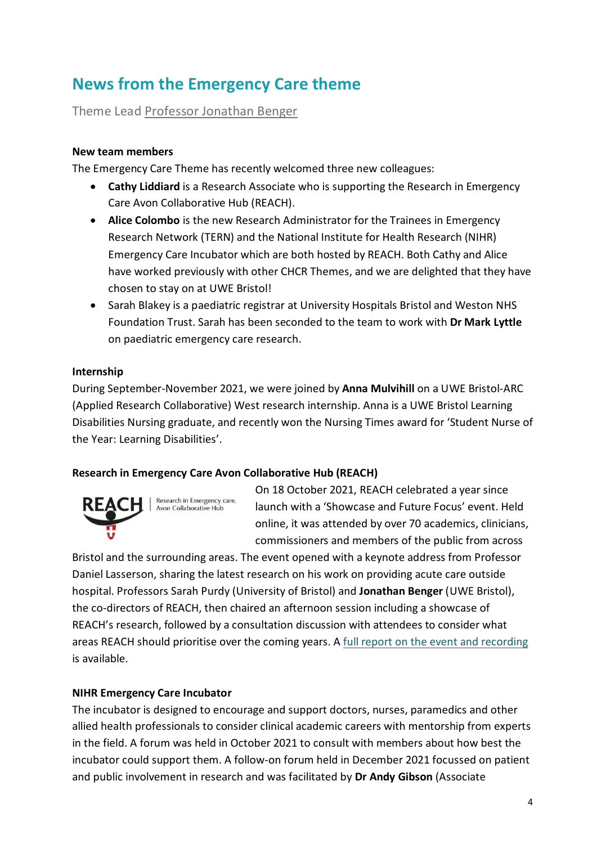# **News from the Emergency Care theme**

Theme Lead Professor [Jonathan Benger](mailto:Jonathan.Benger@uwe.ac.uk)

#### **New team members**

The Emergency Care Theme has recently welcomed three new colleagues:

- **Cathy Liddiard** is a Research Associate who is supporting the Research in Emergency Care Avon Collaborative Hub (REACH).
- **Alice Colombo** is the new Research Administrator for the Trainees in Emergency Research Network (TERN) and the National Institute for Health Research (NIHR) Emergency Care Incubator which are both hosted by REACH. Both Cathy and Alice have worked previously with other CHCR Themes, and we are delighted that they have chosen to stay on at UWE Bristol!
- Sarah Blakey is a paediatric registrar at University Hospitals Bristol and Weston NHS Foundation Trust. Sarah has been seconded to the team to work with **Dr Mark Lyttle** on paediatric emergency care research.

#### **Internship**

During September-November 2021, we were joined by **Anna Mulvihill** on a UWE Bristol-ARC (Applied Research Collaborative) West research internship. Anna is a UWE Bristol Learning Disabilities Nursing graduate, and recently won the Nursing Times award for 'Student Nurse of the Year: Learning Disabilities'.

#### **Research in Emergency Care Avon Collaborative Hub (REACH)**



On 18 October 2021, REACH celebrated a year since launch with a 'Showcase and Future Focus' event. Held online, it was attended by over 70 academics, clinicians, commissioners and members of the public from across

Bristol and the surrounding areas. The event opened with a keynote address from Professor Daniel Lasserson, sharing the latest research on his work on providing acute care outside hospital. Professors Sarah Purdy (University of Bristol) and **Jonathan Benger** (UWE Bristol), the co-directors of REACH, then chaired an afternoon session including a showcase of REACH's research, followed by a consultation discussion with attendees to consider what areas REACH should prioritise over the coming years. A [full report on the event and recording](https://www.bristolhealthpartners.org.uk/latest-news/2021/11/09/reach-collaborative-hub-leading-urgent-and-emergency-care-research-celebrates-its-first-year/1531) is available.

#### **NIHR Emergency Care Incubator**

The incubator is designed to encourage and support doctors, nurses, paramedics and other allied health professionals to consider clinical academic careers with mentorship from experts in the field. A forum was held in October 2021 to consult with members about how best the incubator could support them. A follow-on forum held in December 2021 focussed on patient and public involvement in research and was facilitated by **Dr Andy Gibson** (Associate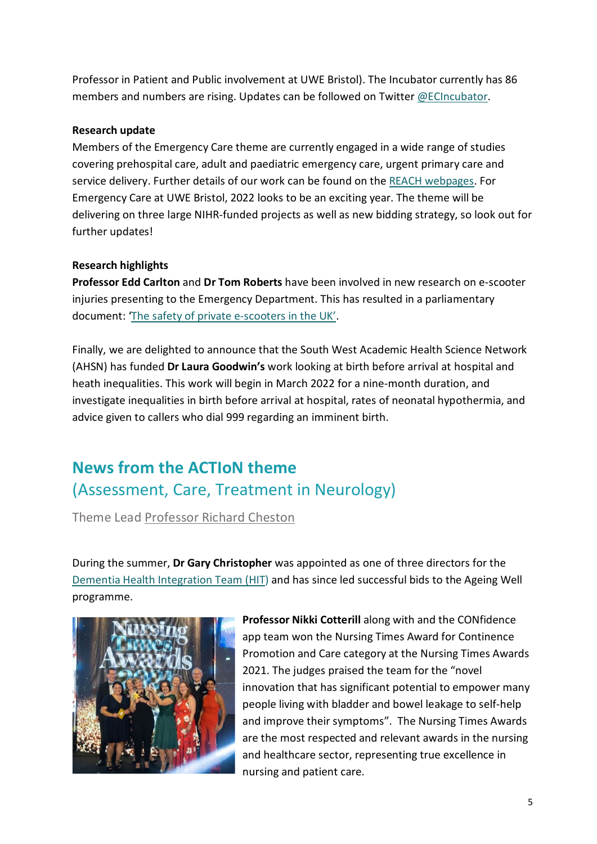Professor in Patient and Public involvement at UWE Bristol). The Incubator currently has 86 members and numbers are rising. Updates can be followed on Twitter [@ECIncubator.](https://twitter.com/ECIncubator)

#### **Research update**

Members of the Emergency Care theme are currently engaged in a wide range of studies covering prehospital care, adult and paediatric emergency care, urgent primary care and service delivery. Further details of our work can be found on the [REACH webpages.](https://www.bristolhealthpartners.org.uk/reach/current-projects/) For Emergency Care at UWE Bristol, 2022 looks to be an exciting year. The theme will be delivering on three large NIHR-funded projects as well as new bidding strategy, so look out for further updates!

#### **Research highlights**

**Professor Edd Carlton** and **Dr Tom Roberts** have been involved in new research on e-scooter injuries presenting to the Emergency Department. This has resulted in a parliamentary document: ['The safety of private e-scooters in the UK'.](https://www.pacts.org.uk/wp-content/uploads/PACTS-The-safety-of-private-e-scooters-in-the-UK-Report-5.0.pdf)

Finally, we are delighted to announce that the South West Academic Health Science Network (AHSN) has funded **Dr Laura Goodwin's** work looking at birth before arrival at hospital and heath inequalities. This work will begin in March 2022 for a nine-month duration, and investigate inequalities in birth before arrival at hospital, rates of neonatal hypothermia, and advice given to callers who dial 999 regarding an imminent birth.

# **News from the ACTIoN theme** (Assessment, Care, Treatment in Neurology)

Theme Lead [Professor Richard Cheston](mailto:richard.cheston@uwe.ac.uk)

During the summer, **Dr Gary Christopher** was appointed as one of three directors for the [Dementia Health Integration Team \(HIT\)](https://www.bristolhealthpartners.org.uk/health-integration-teams/dementia-hit/) and has since led successful bids to the Ageing Well programme.



**Professor Nikki Cotterill** along with and the CONfidence app team won the Nursing Times Award for Continence Promotion and Care category at the Nursing Times Awards 2021. The judges praised the team for the "novel innovation that has significant potential to empower many people living with bladder and bowel leakage to self-help and improve their symptoms". The Nursing Times Awards are the most respected and relevant awards in the nursing and healthcare sector, representing true excellence in nursing and patient care.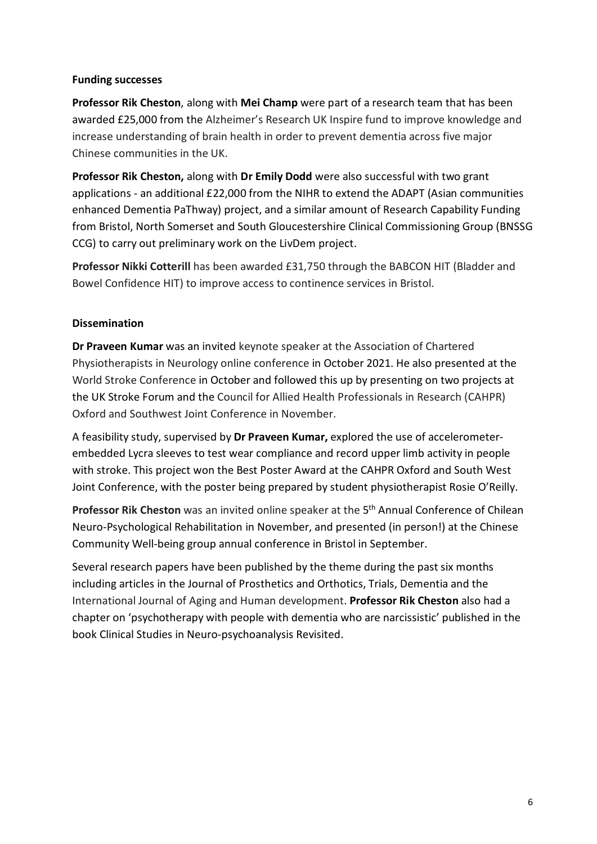#### **Funding successes**

**Professor Rik Cheston**, along with **Mei Champ** were part of a research team that has been awarded £25,000 from the Alzheimer's Research UK Inspire fund to improve knowledge and increase understanding of brain health in order to prevent dementia across five major Chinese communities in the UK.

**Professor Rik Cheston,** along with **Dr Emily Dodd** were also successful with two grant applications - an additional £22,000 from the NIHR to extend the ADAPT (Asian communities enhanced Dementia PaThway) project, and a similar amount of Research Capability Funding from Bristol, North Somerset and South Gloucestershire Clinical Commissioning Group (BNSSG CCG) to carry out preliminary work on the LivDem project.

**Professor Nikki Cotterill** has been awarded £31,750 through the BABCON HIT (Bladder and Bowel Confidence HIT) to improve access to continence services in Bristol.

#### **Dissemination**

**Dr Praveen Kumar** was an invited keynote speaker at the Association of Chartered Physiotherapists in Neurology online conference in October 2021. He also presented at the World Stroke Conference in October and followed this up by presenting on two projects at the UK Stroke Forum and the Council for Allied Health Professionals in Research (CAHPR) Oxford and Southwest Joint Conference in November.

A feasibility study, supervised by **Dr Praveen Kumar,** explored the use of accelerometerembedded Lycra sleeves to test wear compliance and record upper limb activity in people with stroke. This project won the Best Poster Award at the CAHPR Oxford and South West Joint Conference, with the poster being prepared by student physiotherapist Rosie O'Reilly.

**Professor Rik Cheston** was an invited online speaker at the 5<sup>th</sup> Annual Conference of Chilean Neuro-Psychological Rehabilitation in November, and presented (in person!) at the Chinese Community Well-being group annual conference in Bristol in September.

Several research papers have been published by the theme during the past six months including articles in the Journal of Prosthetics and Orthotics, Trials, Dementia and the International Journal of Aging and Human development. **Professor Rik Cheston** also had a chapter on 'psychotherapy with people with dementia who are narcissistic' published in the book Clinical Studies in Neuro-psychoanalysis Revisited.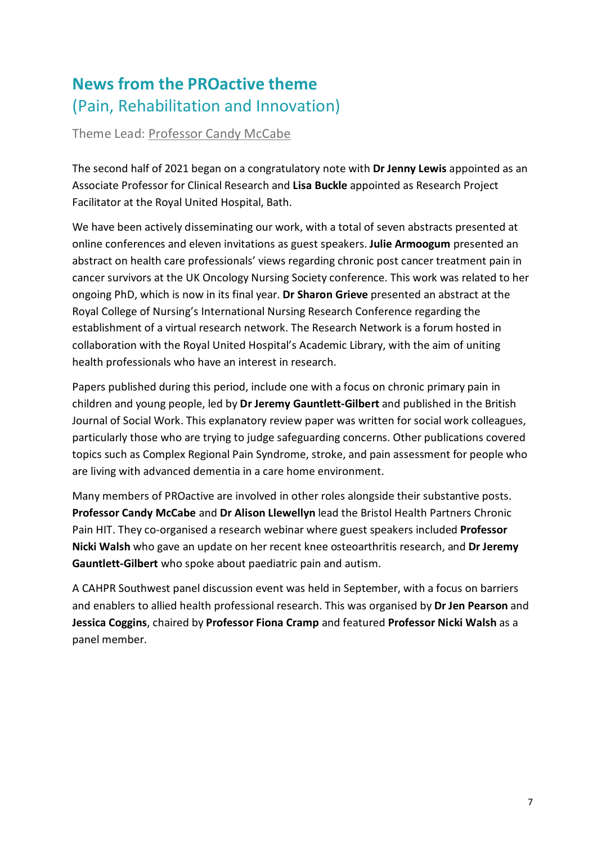# **News from the PROactive theme**  (Pain, Rehabilitation and Innovation)

Theme Lead: [Professor Candy McCabe](mailto:candy.mccabe@uwe.ac.uk)

The second half of 2021 began on a congratulatory note with **Dr Jenny Lewis** appointed as an Associate Professor for Clinical Research and **Lisa Buckle** appointed as Research Project Facilitator at the Royal United Hospital, Bath.

We have been actively disseminating our work, with a total of seven abstracts presented at online conferences and eleven invitations as guest speakers. **Julie Armoogum** presented an abstract on health care professionals' views regarding chronic post cancer treatment pain in cancer survivors at the UK Oncology Nursing Society conference. This work was related to her ongoing PhD, which is now in its final year. **Dr Sharon Grieve** presented an abstract at the Royal College of Nursing's International Nursing Research Conference regarding the establishment of a virtual research network. The Research Network is a forum hosted in collaboration with the Royal United Hospital's Academic Library, with the aim of uniting health professionals who have an interest in research.

Papers published during this period, include one with a focus on chronic primary pain in children and young people, led by **Dr Jeremy Gauntlett-Gilbert** and published in the British Journal of Social Work. This explanatory review paper was written for social work colleagues, particularly those who are trying to judge safeguarding concerns. Other publications covered topics such as Complex Regional Pain Syndrome, stroke, and pain assessment for people who are living with advanced dementia in a care home environment.

Many members of PROactive are involved in other roles alongside their substantive posts. **Professor Candy McCabe** and **Dr Alison Llewellyn** lead the Bristol Health Partners Chronic Pain HIT. They co-organised a research webinar where guest speakers included **Professor Nicki Walsh** who gave an update on her recent knee osteoarthritis research, and **Dr Jeremy Gauntlett-Gilbert** who spoke about paediatric pain and autism.

A CAHPR Southwest panel discussion event was held in September, with a focus on barriers and enablers to allied health professional research. This was organised by **Dr Jen Pearson** and **Jessica Coggins**, chaired by **Professor Fiona Cramp** and featured **Professor Nicki Walsh** as a panel member.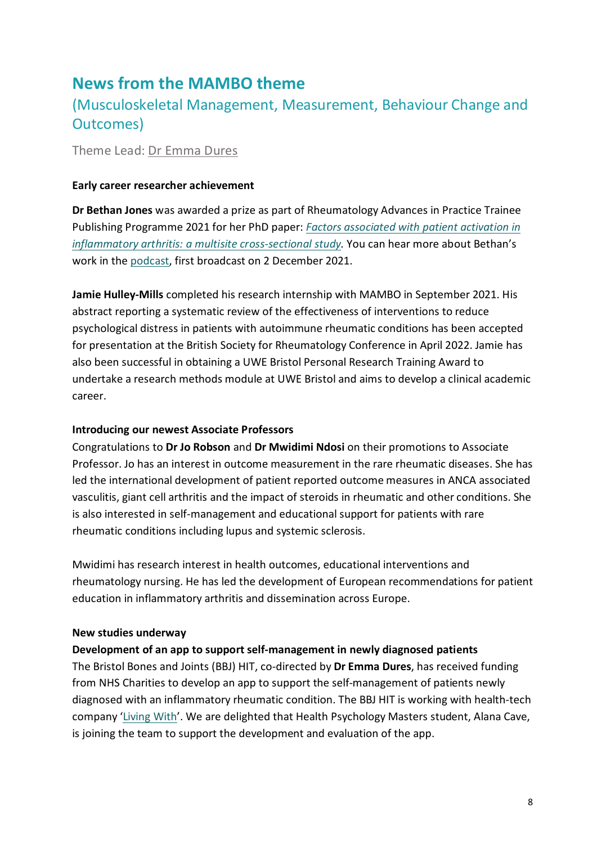### **News from the MAMBO theme**

### [\(Musculoskeletal Management, Measurement, Behaviour Change and](https://www1.uwe.ac.uk/hls/research/healthandclinicalresearch/researchthemes/mambo.aspx)  [Outcomes\)](https://www1.uwe.ac.uk/hls/research/healthandclinicalresearch/researchthemes/mambo.aspx)

Theme Lead: [Dr Emma Dures](mailto:Emma2.Dures@uwe.ac.uk)

#### **Early career researcher achievement**

**Dr Bethan Jones** was awarded a prize as part of Rheumatology Advances in Practice Trainee Publishing Programme 2021 for her PhD paper: *[Factors associated with patient activation in](https://doi.org/10.1093/rap/rkab053)  [inflammatory arthritis: a multisite cross-sectional study.](https://doi.org/10.1093/rap/rkab053)* You can hear more about Bethan's work in the [podcast,](https://academic.oup.com/rheumatology/pages/podcas) first broadcast on 2 December 2021.

**Jamie Hulley-Mills** completed his research internship with MAMBO in September 2021. His abstract reporting a systematic review of the effectiveness of interventions to reduce psychological distress in patients with autoimmune rheumatic conditions has been accepted for presentation at the British Society for Rheumatology Conference in April 2022. Jamie has also been successful in obtaining a UWE Bristol Personal Research Training Award to undertake a research methods module at UWE Bristol and aims to develop a clinical academic career.

#### <span id="page-7-0"></span>**Introducing our newest Associate Professors**

Congratulations to **Dr Jo Robson** and **Dr Mwidimi Ndosi** on their promotions to Associate Professor. Jo has an interest in outcome measurement in the rare rheumatic diseases. She has led the international development of patient reported outcome measures in ANCA associated vasculitis, giant cell arthritis and the impact of steroids in rheumatic and other conditions. She is also interested in self-management and educational support for patients with rare rheumatic conditions including lupus and systemic sclerosis.

Mwidimi has research interest in health outcomes, educational interventions and rheumatology nursing. He has led the development of European recommendations for patient education in inflammatory arthritis and dissemination across Europe.

#### **New studies underway**

#### **Development of an app to support self-management in newly diagnosed patients**

The Bristol Bones and Joints (BBJ) HIT, co-directed by **Dr Emma Dures**, has received funding from NHS Charities to develop an app to support the self-management of patients newly diagnosed with an inflammatory rheumatic condition. The BBJ HIT is working with health-tech company ['Living With'](https://www.livingwith.health/). We are delighted that Health Psychology Masters student, Alana Cave, is joining the team to support the development and evaluation of the app.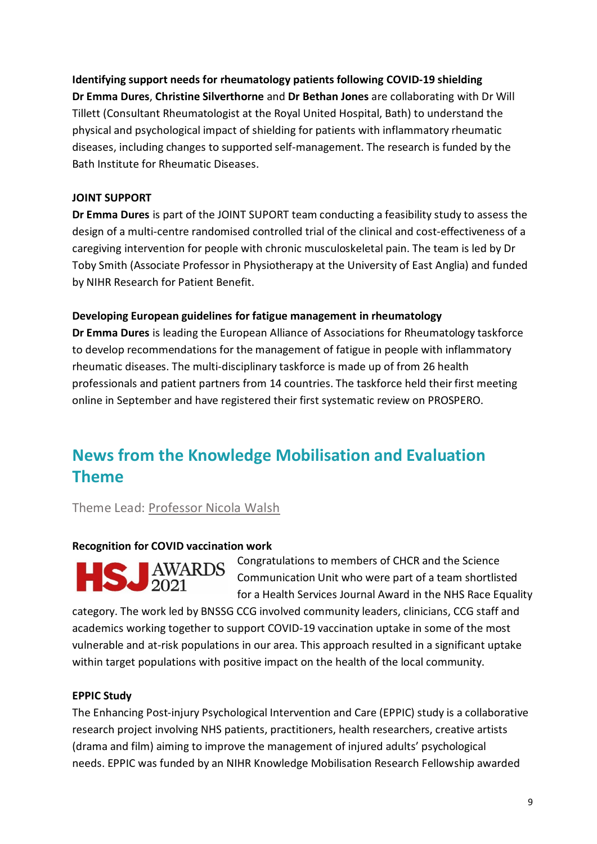#### **Identifying support needs for rheumatology patients following COVID-19 shielding**

**Dr Emma Dures**, **Christine Silverthorne** and **Dr Bethan Jones** are collaborating with Dr Will Tillett (Consultant Rheumatologist at the Royal United Hospital, Bath) to understand the physical and psychological impact of shielding for patients with inflammatory rheumatic diseases, including changes to supported self-management. The research is funded by the Bath Institute for Rheumatic Diseases.

#### **JOINT SUPPORT**

**Dr Emma Dures** is part of the JOINT SUPORT team conducting a feasibility study to assess the design of a multi-centre randomised controlled trial of the clinical and cost-effectiveness of a caregiving intervention for people with chronic musculoskeletal pain. The team is led by Dr Toby Smith (Associate Professor in Physiotherapy at the University of East Anglia) and funded by NIHR Research for Patient Benefit.

#### **Developing European guidelines for fatigue management in rheumatology**

**Dr Emma Dures** is leading the European Alliance of Associations for Rheumatology taskforce to develop recommendations for the management of fatigue in people with inflammatory rheumatic diseases. The multi-disciplinary taskforce is made up of from 26 health professionals and patient partners from 14 countries. The taskforce held their first meeting online in September and have registered their first systematic review on PROSPERO.

### **News from the Knowledge Mobilisation and Evaluation Theme**

Theme Lead: [Professor Nicola Walsh](mailto:nicola.walsh@uwe.ac.uk)

#### **Recognition for COVID vaccination work**



Congratulations to members of CHCR and the Science Communication Unit who were part of a team shortlisted for a Health Services Journal Award in the NHS Race Equality

category. The work led by BNSSG CCG involved community leaders, clinicians, CCG staff and academics working together to support COVID-19 vaccination uptake in some of the most vulnerable and at-risk populations in our area. This approach resulted in a significant uptake within target populations with positive impact on the health of the local community.

#### **EPPIC Study**

The Enhancing Post-injury Psychological Intervention and Care (EPPIC) study is a collaborative research project involving NHS patients, practitioners, health researchers, creative artists (drama and film) aiming to improve the management of injured adults' psychological needs. EPPIC was funded by an NIHR Knowledge Mobilisation Research Fellowship awarded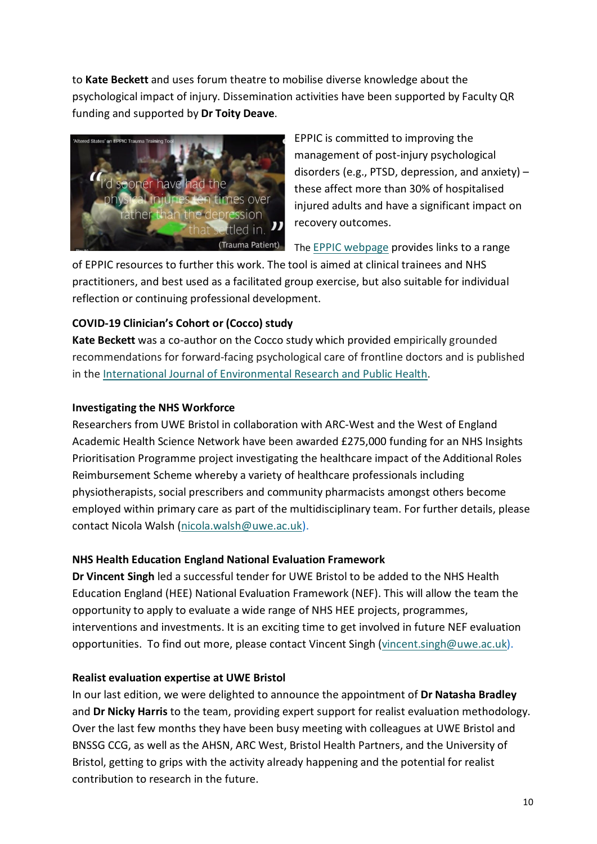to **Kate Beckett** and uses forum theatre to mobilise diverse knowledge about the psychological impact of injury. Dissemination activities have been supported by Faculty QR funding and supported by **Dr Toity Deave**.



EPPIC is committed to improving the management of post-injury psychological disorders (e.g., PTSD, depression, and anxiety) – these affect more than 30% of hospitalised injured adults and have a significant impact on recovery outcomes.

The [EPPIC webpage](https://www.uwe.ac.uk/research/centres-and-groups/chcr/research-themes/knowledge-mobilisation/eppic) provides links to a range

of EPPIC resources to further this work. The tool is aimed at clinical trainees and NHS practitioners, and best used as a facilitated group exercise, but also suitable for individual reflection or continuing professional development.

#### **COVID-19 Clinician's Cohort or (Cocco) study**

**Kate Beckett** was a co-author on the Cocco study which provided empirically grounded recommendations for forward-facing psychological care of frontline doctors and is published in the [International Journal of Environmental Research and Public Health.](https://www.mdpi.com/1660-4601/18/18/9675)

#### **Investigating the NHS Workforce**

Researchers from UWE Bristol in collaboration with ARC-West and the West of England Academic Health Science Network have been awarded £275,000 funding for an NHS Insights Prioritisation Programme project investigating the healthcare impact of the Additional Roles Reimbursement Scheme whereby a variety of healthcare professionals including physiotherapists, social prescribers and community pharmacists amongst others become employed within primary care as part of the multidisciplinary team. For further details, please contact Nicola Walsh [\(nicola.walsh@uwe.ac.uk\)](mailto:nicola.walsh@uwe.ac.uk).

#### **NHS Health Education England National Evaluation Framework**

**Dr Vincent Singh** led a successful tender for UWE Bristol to be added to the NHS Health Education England (HEE) National Evaluation Framework (NEF). This will allow the team the opportunity to apply to evaluate a wide range of NHS HEE projects, programmes, interventions and investments. It is an exciting time to get involved in future NEF evaluation opportunities. To find out more, please contact Vincent Singh [\(vincent.singh@uwe.ac.uk\)](mailto:vincent.singh@uwe.ac.uk).

#### **Realist evaluation expertise at UWE Bristol**

In our last edition, we were delighted to announce the appointment of **Dr Natasha Bradley** and **Dr Nicky Harris** to the team, providing expert support for realist evaluation methodology. Over the last few months they have been busy meeting with colleagues at UWE Bristol and BNSSG CCG, as well as the AHSN, ARC West, Bristol Health Partners, and the University of Bristol, getting to grips with the activity already happening and the potential for realist contribution to research in the future.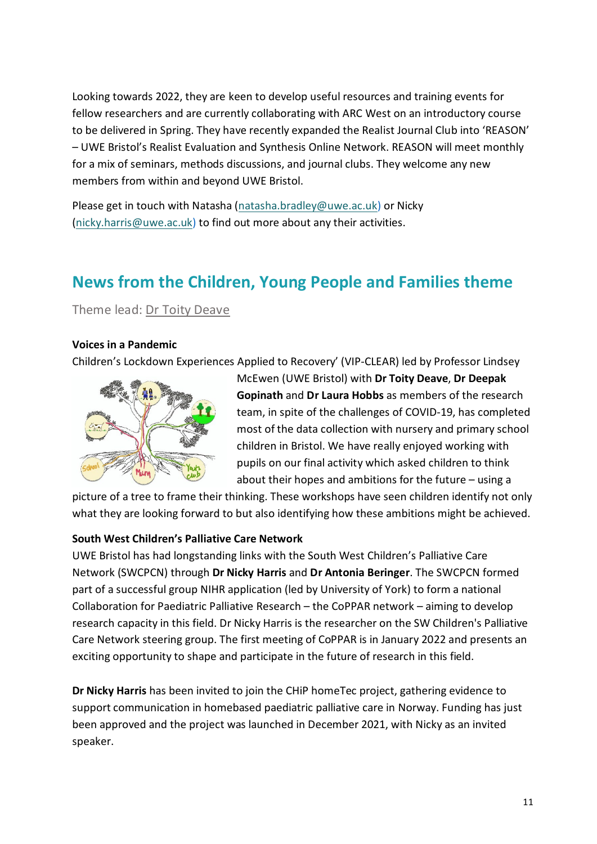Looking towards 2022, they are keen to develop useful resources and training events for fellow researchers and are currently collaborating with ARC West on an introductory course to be delivered in Spring. They have recently expanded the Realist Journal Club into 'REASON' – UWE Bristol's Realist Evaluation and Synthesis Online Network. REASON will meet monthly for a mix of seminars, methods discussions, and journal clubs. They welcome any new members from within and beyond UWE Bristol.

Please get in touch with Natasha [\(natasha.bradley@uwe.ac.uk\)](mailto:natasha.bradley@uwe.ac.uk) or Nicky [\(nicky.harris@uwe.ac.uk\)](mailto:nicky.harris@uwe.ac.uk) to find out more about any their activities.

# **News from the Children, Young People and Families theme**

Theme lead: [Dr Toity Deave](mailto:toity.deave@uwe.ac.uk)

#### **Voices in a Pandemic**

Children's Lockdown Experiences Applied to Recovery' (VIP-CLEAR) led by Professor Lindsey



McEwen (UWE Bristol) with **Dr Toity Deave**, **Dr Deepak Gopinath** and **Dr Laura Hobbs** as members of the research team, in spite of the challenges of COVID-19, has completed most of the data collection with nursery and primary school children in Bristol. We have really enjoyed working with pupils on our final activity which asked children to think about their hopes and ambitions for the future – using a

picture of a tree to frame their thinking. These workshops have seen children identify not only what they are looking forward to but also identifying how these ambitions might be achieved.

#### **South West Children's Palliative Care Network**

UWE Bristol has had longstanding links with the South West Children's Palliative Care Network (SWCPCN) through **Dr Nicky Harris** and **Dr Antonia Beringer**. The SWCPCN formed part of a successful group NIHR application (led by University of York) to form a national Collaboration for Paediatric Palliative Research – the CoPPAR network – aiming to develop research capacity in this field. Dr Nicky Harris is the researcher on the SW Children's Palliative Care Network steering group. The first meeting of CoPPAR is in January 2022 and presents an exciting opportunity to shape and participate in the future of research in this field.

**Dr Nicky Harris** has been invited to join the CHiP homeTec project, gathering evidence to support communication in homebased paediatric palliative care in Norway. Funding has just been approved and the project was launched in December 2021, with Nicky as an invited speaker.